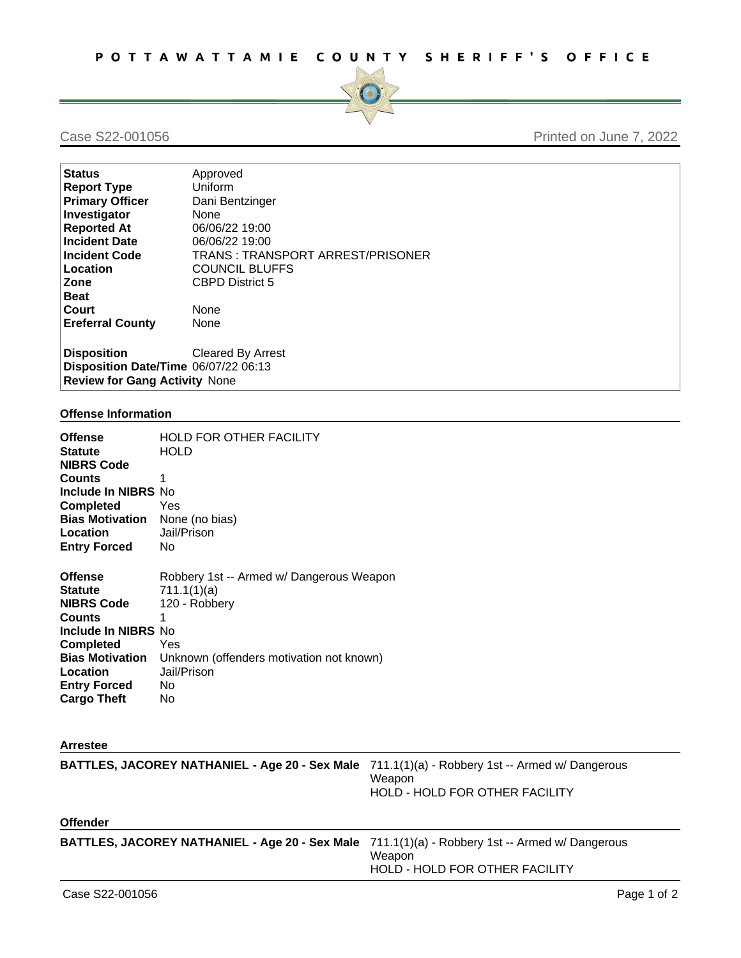

## Case S22-001056 **Printed on June 7, 2022**

| Approved                             |  |  |  |
|--------------------------------------|--|--|--|
| Uniform                              |  |  |  |
| Dani Bentzinger                      |  |  |  |
| None                                 |  |  |  |
| 06/06/22 19:00                       |  |  |  |
| 06/06/22 19:00                       |  |  |  |
| TRANS: TRANSPORT ARREST/PRISONER     |  |  |  |
| <b>COUNCIL BLUFFS</b>                |  |  |  |
| <b>CBPD District 5</b>               |  |  |  |
|                                      |  |  |  |
| None                                 |  |  |  |
| None                                 |  |  |  |
|                                      |  |  |  |
| <b>Cleared By Arrest</b>             |  |  |  |
| Disposition Date/Time 06/07/22 06:13 |  |  |  |
| <b>Review for Gang Activity None</b> |  |  |  |
|                                      |  |  |  |

## **Offense Information**

| <b>Offense</b><br><b>Statute</b><br><b>NIBRS Code</b><br><b>Counts</b><br><b>Include In NIBRS No</b><br><b>Completed</b><br><b>Bias Motivation</b><br><b>Location</b><br><b>Entry Forced</b>         | <b>HOLD FOR OTHER FACILITY</b><br><b>HOLD</b><br>1<br>Yes<br>None (no bias)<br>Jail/Prison<br>No.                                                             |
|------------------------------------------------------------------------------------------------------------------------------------------------------------------------------------------------------|---------------------------------------------------------------------------------------------------------------------------------------------------------------|
| <b>Offense</b><br><b>Statute</b><br><b>NIBRS Code</b><br><b>Counts</b><br>Include In NIBRS No<br><b>Completed</b><br><b>Bias Motivation</b><br>Location<br><b>Entry Forced</b><br><b>Cargo Theft</b> | Robbery 1st -- Armed w/ Dangerous Weapon<br>711.1(1)(a)<br>120 - Robbery<br>1<br>Yes<br>Unknown (offenders motivation not known)<br>Jail/Prison<br>No.<br>No. |
| <b>Arrestee</b>                                                                                                                                                                                      |                                                                                                                                                               |
|                                                                                                                                                                                                      | <b>RATTI ES JACODEV NATHANIEL, Ano 20, Sov Malo <math>(711.11)(a)</math>, Dobboni 1st, Armed w/ Dangerous</b>                                                 |

| BATTLES, JACOREY NATHANIEL - Age 20 - Sex Male 711.1(1)(a) - Robbery 1st -- Armed w/ Dangerous        | Weapon<br>HOLD - HOLD FOR OTHER FACILITY |
|-------------------------------------------------------------------------------------------------------|------------------------------------------|
| <b>Offender</b>                                                                                       |                                          |
| <b>BATTLES, JACOREY NATHANIEL - Age 20 - Sex Male</b> 711.1(1)(a) - Robbery 1st -- Armed w/ Dangerous | Weapon<br>HOLD - HOLD FOR OTHER FACILITY |
|                                                                                                       |                                          |